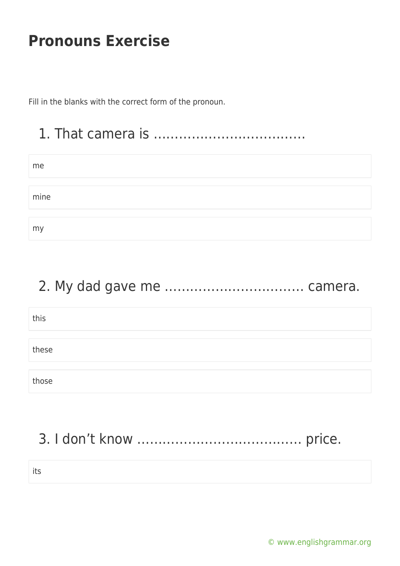Fill in the blanks with the correct form of the pronoun.

# 1. That camera is ………………………………

| me   |  |  |
|------|--|--|
|      |  |  |
|      |  |  |
| mine |  |  |
|      |  |  |
|      |  |  |
| my   |  |  |

#### 2. My dad gave me …………………………… camera.

| this  |  |
|-------|--|
|       |  |
| these |  |
|       |  |
| those |  |

# 3. I don't know ………………………………… price.

its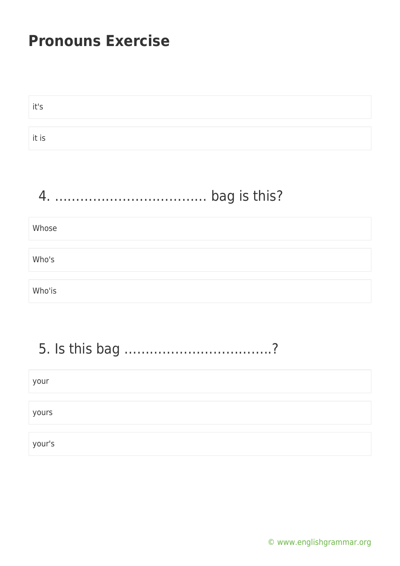| it's                           |
|--------------------------------|
| it is                          |
|                                |
| bag is this?<br>$\overline{4}$ |
| Whose                          |
| Who's                          |
| Who'is                         |
|                                |

#### 5. Is this bag ……………………………..?

# your yours your's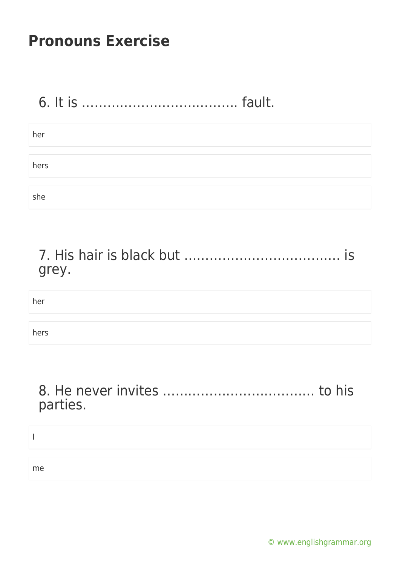# 6. It is ………………………………. fault.

| her  |  |  |  |
|------|--|--|--|
|      |  |  |  |
|      |  |  |  |
| hers |  |  |  |
|      |  |  |  |
|      |  |  |  |
| she  |  |  |  |

| grey. |  |
|-------|--|

her

hers

#### 8. He never invites ……………………………… to his parties.

I me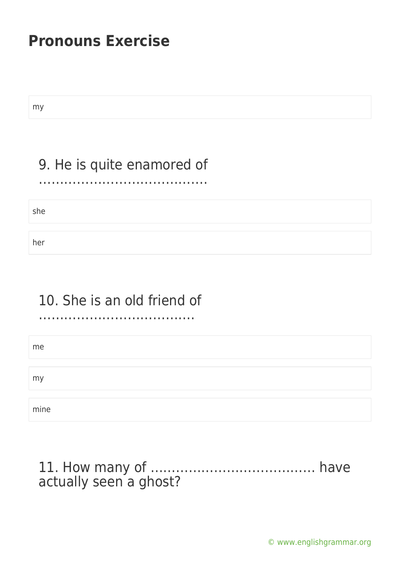my

#### 9. He is quite enamored of ………………………………….

she

her

#### 10. She is an old friend of

……………………………………………………

me my mine

#### 11. How many of ………………………………… have actually seen a ghost?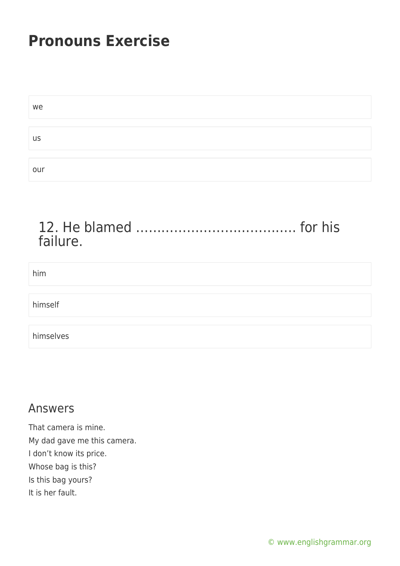| we        |  |  |
|-----------|--|--|
|           |  |  |
| <b>US</b> |  |  |
|           |  |  |
| our       |  |  |

#### 12. He blamed ……………………………….. for his failure.

#### him

himself

himselves

#### Answers

That camera is mine. My dad gave me this camera. I don't know its price. Whose bag is this? Is this bag yours? It is her fault.